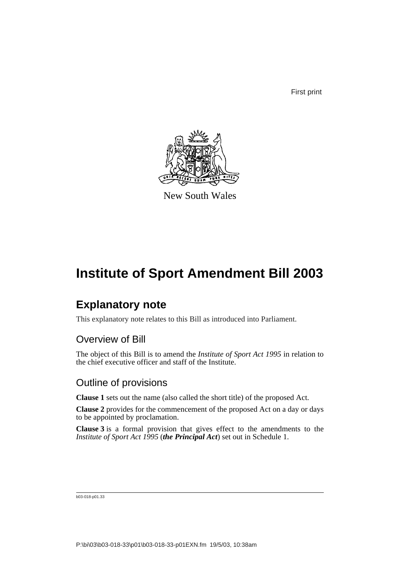First print



New South Wales

# **Institute of Sport Amendment Bill 2003**

## **Explanatory note**

This explanatory note relates to this Bill as introduced into Parliament.

## Overview of Bill

The object of this Bill is to amend the *Institute of Sport Act 1995* in relation to the chief executive officer and staff of the Institute.

## Outline of provisions

**Clause 1** sets out the name (also called the short title) of the proposed Act.

**Clause 2** provides for the commencement of the proposed Act on a day or days to be appointed by proclamation.

**Clause 3** is a formal provision that gives effect to the amendments to the *Institute of Sport Act 1995* (*the Principal Act*) set out in Schedule 1.

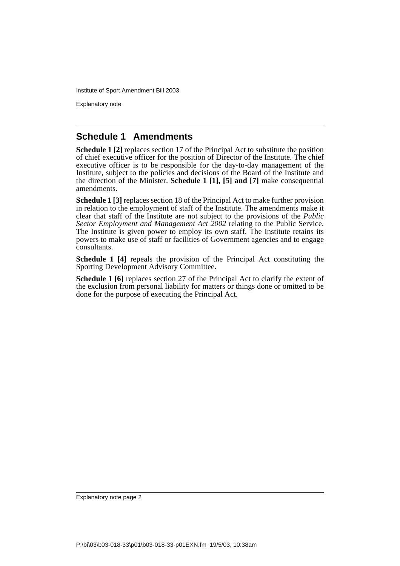Explanatory note

## **Schedule 1 Amendments**

**Schedule 1 [2]** replaces section 17 of the Principal Act to substitute the position of chief executive officer for the position of Director of the Institute. The chief executive officer is to be responsible for the day-to-day management of the Institute, subject to the policies and decisions of the Board of the Institute and the direction of the Minister. **Schedule 1 [1], [5] and [7]** make consequential amendments.

**Schedule 1 [3]** replaces section 18 of the Principal Act to make further provision in relation to the employment of staff of the Institute. The amendments make it clear that staff of the Institute are not subject to the provisions of the *Public Sector Employment and Management Act 2002* relating to the Public Service. The Institute is given power to employ its own staff. The Institute retains its powers to make use of staff or facilities of Government agencies and to engage consultants.

**Schedule 1 [4]** repeals the provision of the Principal Act constituting the Sporting Development Advisory Committee.

**Schedule 1 [6]** replaces section 27 of the Principal Act to clarify the extent of the exclusion from personal liability for matters or things done or omitted to be done for the purpose of executing the Principal Act.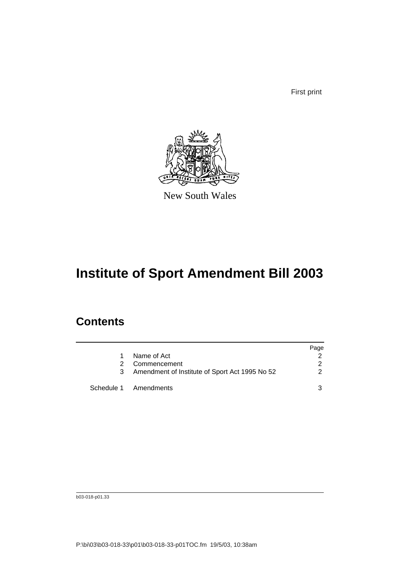First print



New South Wales

# **Institute of Sport Amendment Bill 2003**

## **Contents**

|               |                                                | Page |
|---------------|------------------------------------------------|------|
|               | Name of Act                                    |      |
| $\mathcal{P}$ | Commencement                                   | 2    |
| 3             | Amendment of Institute of Sport Act 1995 No 52 | 2    |
|               | Schedule 1 Amendments                          | 3    |

b03-018-p01.33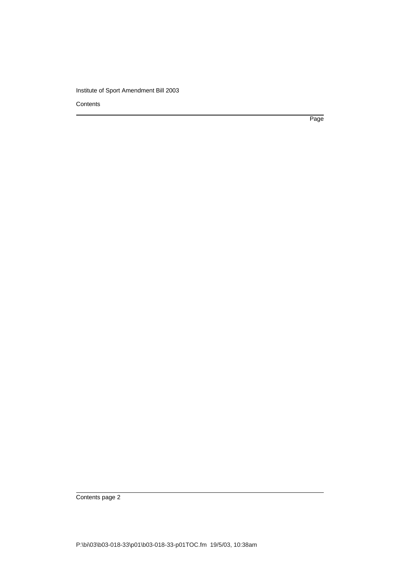**Contents** 

Page

Contents page 2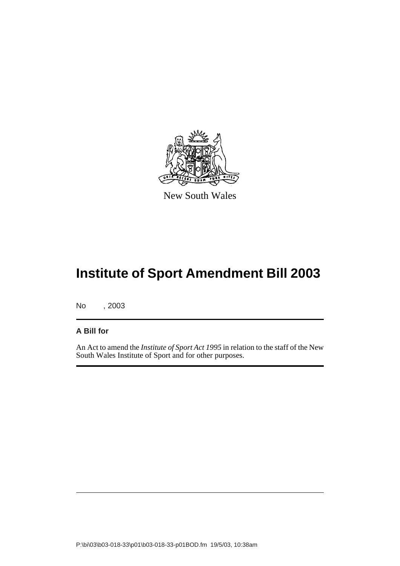

New South Wales

# **Institute of Sport Amendment Bill 2003**

No , 2003

### **A Bill for**

An Act to amend the *Institute of Sport Act 1995* in relation to the staff of the New South Wales Institute of Sport and for other purposes.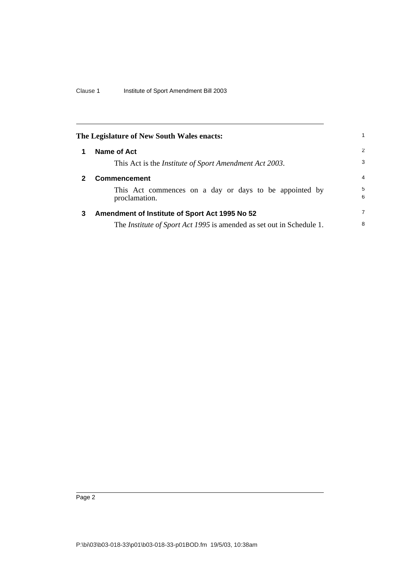<span id="page-5-2"></span><span id="page-5-1"></span><span id="page-5-0"></span>

|   | The Legislature of New South Wales enacts:                                  | $\mathbf{1}$   |
|---|-----------------------------------------------------------------------------|----------------|
|   | <b>Name of Act</b>                                                          | 2              |
|   | This Act is the <i>Institute of Sport Amendment Act 2003</i> .              | 3              |
| 2 | <b>Commencement</b>                                                         | $\overline{4}$ |
|   | This Act commences on a day or days to be appointed by<br>proclamation.     | 5<br>6         |
| 3 | Amendment of Institute of Sport Act 1995 No 52                              | $\overline{7}$ |
|   | The <i>Institute of Sport Act 1995</i> is amended as set out in Schedule 1. | 8              |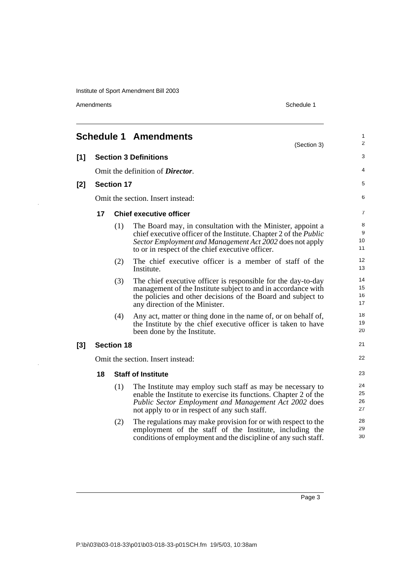Amendments Schedule 1

l,

<span id="page-6-0"></span>

|       |                                      |                   | <b>Schedule 1 Amendments</b>                                                                                                                                                                                                                            | (Section 3) | 1<br>$\overline{2}$  |
|-------|--------------------------------------|-------------------|---------------------------------------------------------------------------------------------------------------------------------------------------------------------------------------------------------------------------------------------------------|-------------|----------------------|
| $[1]$ |                                      |                   | <b>Section 3 Definitions</b>                                                                                                                                                                                                                            |             | 3                    |
|       |                                      |                   | Omit the definition of <i>Director</i> .                                                                                                                                                                                                                |             | 4                    |
| $[2]$ |                                      | <b>Section 17</b> |                                                                                                                                                                                                                                                         |             | 5                    |
|       |                                      |                   | Omit the section. Insert instead:                                                                                                                                                                                                                       |             | 6                    |
|       | 17<br><b>Chief executive officer</b> |                   |                                                                                                                                                                                                                                                         |             | 7                    |
|       |                                      | (1)               | The Board may, in consultation with the Minister, appoint a<br>chief executive officer of the Institute. Chapter 2 of the <i>Public</i><br>Sector Employment and Management Act 2002 does not apply<br>to or in respect of the chief executive officer. |             | 8<br>9<br>10<br>11   |
|       |                                      | (2)               | The chief executive officer is a member of staff of the<br>Institute.                                                                                                                                                                                   |             | 12<br>13             |
|       |                                      | (3)               | The chief executive officer is responsible for the day-to-day<br>management of the Institute subject to and in accordance with<br>the policies and other decisions of the Board and subject to<br>any direction of the Minister.                        |             | 14<br>15<br>16<br>17 |
|       |                                      | (4)               | Any act, matter or thing done in the name of, or on behalf of,<br>the Institute by the chief executive officer is taken to have<br>been done by the Institute.                                                                                          |             | 18<br>19<br>20       |
| $[3]$ | <b>Section 18</b>                    |                   |                                                                                                                                                                                                                                                         |             | 21                   |
|       |                                      |                   | Omit the section. Insert instead:                                                                                                                                                                                                                       |             | 22                   |
|       | 18                                   |                   | <b>Staff of Institute</b>                                                                                                                                                                                                                               |             | 23                   |
|       |                                      | (1)               | The Institute may employ such staff as may be necessary to<br>enable the Institute to exercise its functions. Chapter 2 of the<br>Public Sector Employment and Management Act 2002 does<br>not apply to or in respect of any such staff.                |             | 24<br>25<br>26<br>27 |
|       |                                      | (2)               | The regulations may make provision for or with respect to the<br>employment of the staff of the Institute, including the<br>conditions of employment and the discipline of any such staff.                                                              |             | 28<br>29<br>30       |

Page 3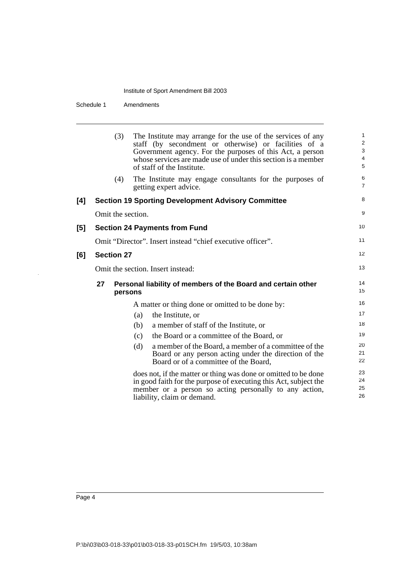Schedule 1 Amendments

|     |    | (3)               | The Institute may arrange for the use of the services of any<br>staff (by secondment or otherwise) or facilities of a<br>Government agency. For the purposes of this Act, a person<br>whose services are made use of under this section is a member<br>of staff of the Institute. | 1<br>$\overline{\mathbf{c}}$<br>3<br>4<br>5 |
|-----|----|-------------------|-----------------------------------------------------------------------------------------------------------------------------------------------------------------------------------------------------------------------------------------------------------------------------------|---------------------------------------------|
|     |    | (4)               | The Institute may engage consultants for the purposes of<br>getting expert advice.                                                                                                                                                                                                | 6<br>$\overline{7}$                         |
| [4] |    |                   | <b>Section 19 Sporting Development Advisory Committee</b>                                                                                                                                                                                                                         | 8                                           |
|     |    |                   | Omit the section.                                                                                                                                                                                                                                                                 | 9                                           |
| [5] |    |                   | <b>Section 24 Payments from Fund</b>                                                                                                                                                                                                                                              | 10                                          |
|     |    |                   | Omit "Director". Insert instead "chief executive officer".                                                                                                                                                                                                                        | 11                                          |
| [6] |    | <b>Section 27</b> |                                                                                                                                                                                                                                                                                   | 12                                          |
|     |    |                   | Omit the section. Insert instead:                                                                                                                                                                                                                                                 | 13                                          |
|     | 27 | persons           | Personal liability of members of the Board and certain other                                                                                                                                                                                                                      | 14<br>15                                    |
|     |    |                   | A matter or thing done or omitted to be done by:                                                                                                                                                                                                                                  | 16                                          |
|     |    |                   | the Institute, or<br>(a)                                                                                                                                                                                                                                                          | 17                                          |
|     |    |                   | (b)<br>a member of staff of the Institute, or                                                                                                                                                                                                                                     | 18                                          |
|     |    |                   | the Board or a committee of the Board, or<br>(c)                                                                                                                                                                                                                                  | 19                                          |
|     |    |                   | a member of the Board, a member of a committee of the<br>(d)<br>Board or any person acting under the direction of the<br>Board or of a committee of the Board,                                                                                                                    | 20<br>21<br>22                              |
|     |    |                   | does not, if the matter or thing was done or omitted to be done<br>in good faith for the purpose of executing this Act, subject the<br>member or a person so acting personally to any action,<br>liability, claim or demand.                                                      | 23<br>24<br>25<br>26                        |

Page 4